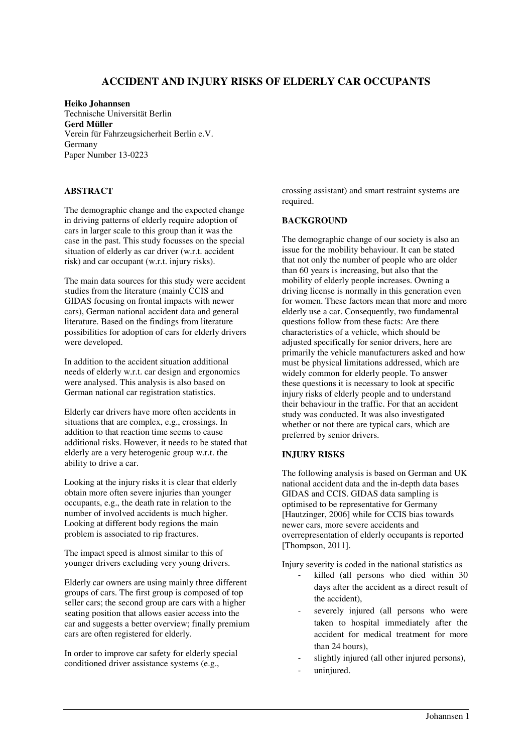# **ACCIDENT AND INJURY RISKS OF ELDERLY CAR OCCUPANTS**

**Heiko Johannsen**  Technische Universität Berlin **Gerd Müller** Verein für Fahrzeugsicherheit Berlin e.V. Germany Paper Number 13-0223

# **ABSTRACT**

The demographic change and the expected change in driving patterns of elderly require adoption of cars in larger scale to this group than it was the case in the past. This study focusses on the special situation of elderly as car driver (w.r.t. accident risk) and car occupant (w.r.t. injury risks).

The main data sources for this study were accident studies from the literature (mainly CCIS and GIDAS focusing on frontal impacts with newer cars), German national accident data and general literature. Based on the findings from literature possibilities for adoption of cars for elderly drivers were developed.

In addition to the accident situation additional needs of elderly w.r.t. car design and ergonomics were analysed. This analysis is also based on German national car registration statistics.

Elderly car drivers have more often accidents in situations that are complex, e.g., crossings. In addition to that reaction time seems to cause additional risks. However, it needs to be stated that elderly are a very heterogenic group w.r.t. the ability to drive a car.

Looking at the injury risks it is clear that elderly obtain more often severe injuries than younger occupants, e.g., the death rate in relation to the number of involved accidents is much higher. Looking at different body regions the main problem is associated to rip fractures.

The impact speed is almost similar to this of younger drivers excluding very young drivers.

Elderly car owners are using mainly three different groups of cars. The first group is composed of top seller cars; the second group are cars with a higher seating position that allows easier access into the car and suggests a better overview; finally premium cars are often registered for elderly.

In order to improve car safety for elderly special conditioned driver assistance systems (e.g.,

crossing assistant) and smart restraint systems are required.

# **BACKGROUND**

The demographic change of our society is also an issue for the mobility behaviour. It can be stated that not only the number of people who are older than 60 years is increasing, but also that the mobility of elderly people increases. Owning a driving license is normally in this generation even for women. These factors mean that more and more elderly use a car. Consequently, two fundamental questions follow from these facts: Are there characteristics of a vehicle, which should be adjusted specifically for senior drivers, here are primarily the vehicle manufacturers asked and how must be physical limitations addressed, which are widely common for elderly people. To answer these questions it is necessary to look at specific injury risks of elderly people and to understand their behaviour in the traffic. For that an accident study was conducted. It was also investigated whether or not there are typical cars, which are preferred by senior drivers.

## **INJURY RISKS**

The following analysis is based on German and UK national accident data and the in-depth data bases GIDAS and CCIS. GIDAS data sampling is optimised to be representative for Germany [Hautzinger, 2006] while for CCIS bias towards newer cars, more severe accidents and overrepresentation of elderly occupants is reported [Thompson, 2011].

Injury severity is coded in the national statistics as

- killed (all persons who died within 30 days after the accident as a direct result of the accident),
- severely injured (all persons who were taken to hospital immediately after the accident for medical treatment for more than 24 hours),
- slightly injured (all other injured persons),
- uninjured.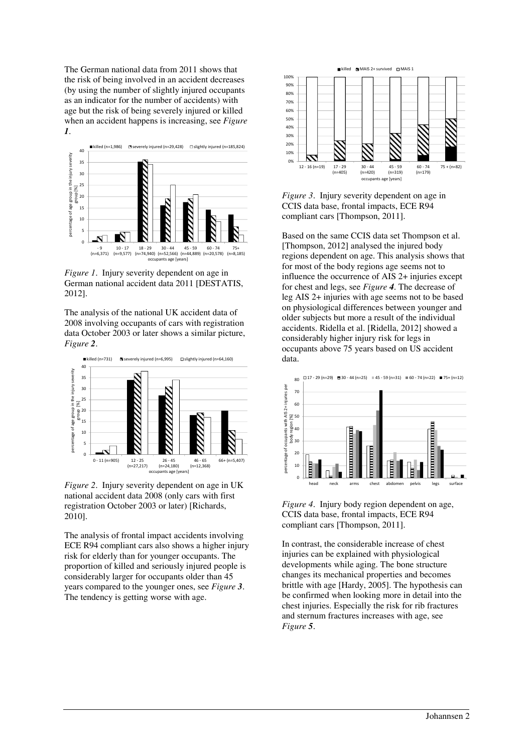The German national data from 2011 shows that the risk of being involved in an accident decreases (by using the number of slightly injured occupants as an indicator for the number of accidents) with age but the risk of being severely injured or killed when an accident happens is increasing, see *Figure 1*.



*Figure 1*. Injury severity dependent on age in German national accident data 2011 [DESTATIS, 2012].

The analysis of the national UK accident data of 2008 involving occupants of cars with registration data October 2003 or later shows a similar picture, *Figure 2*.



*Figure 2*. Injury severity dependent on age in UK national accident data 2008 (only cars with first registration October 2003 or later) [Richards, 2010].

The analysis of frontal impact accidents involving ECE R94 compliant cars also shows a higher injury risk for elderly than for younger occupants. The proportion of killed and seriously injured people is considerably larger for occupants older than 45 years compared to the younger ones, see *Figure 3*. The tendency is getting worse with age.



*Figure 3*. Injury severity dependent on age in CCIS data base, frontal impacts, ECE R94 compliant cars [Thompson, 2011].

Based on the same CCIS data set Thompson et al. [Thompson, 2012] analysed the injured body regions dependent on age. This analysis shows that for most of the body regions age seems not to influence the occurrence of AIS 2+ injuries except for chest and legs, see *Figure 4*. The decrease of leg AIS 2+ injuries with age seems not to be based on physiological differences between younger and older subjects but more a result of the individual accidents. Ridella et al. [Ridella, 2012] showed a considerably higher injury risk for legs in occupants above 75 years based on US accident data.



*Figure 4*. Injury body region dependent on age, CCIS data base, frontal impacts, ECE R94 compliant cars [Thompson, 2011].

In contrast, the considerable increase of chest injuries can be explained with physiological developments while aging. The bone structure changes its mechanical properties and becomes brittle with age [Hardy, 2005]. The hypothesis can be confirmed when looking more in detail into the chest injuries. Especially the risk for rib fractures and sternum fractures increases with age, see *Figure 5*.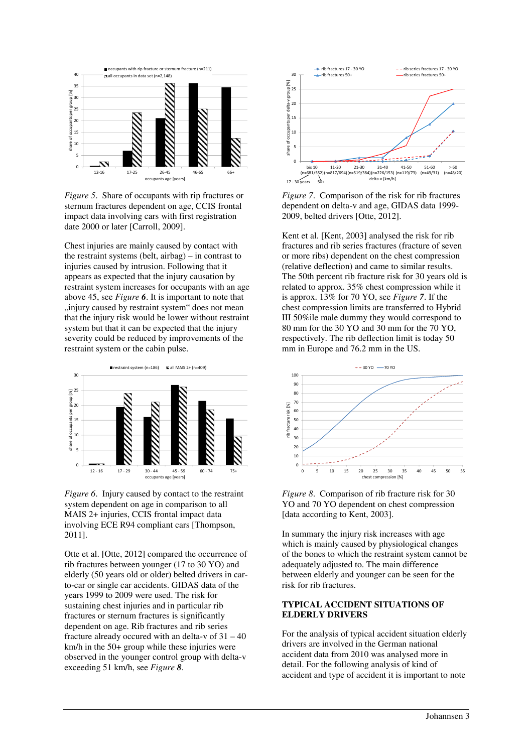

*Figure 5*. Share of occupants with rip fractures or sternum fractures dependent on age, CCIS frontal impact data involving cars with first registration date 2000 or later [Carroll, 2009].

Chest injuries are mainly caused by contact with the restraint systems (belt, airbag) – in contrast to injuries caused by intrusion. Following that it appears as expected that the injury causation by restraint system increases for occupants with an age above 45, see *Figure 6*. It is important to note that ,,injury caused by restraint system" does not mean that the injury risk would be lower without restraint system but that it can be expected that the injury severity could be reduced by improvements of the restraint system or the cabin pulse.



*Figure 6*. Injury caused by contact to the restraint system dependent on age in comparison to all MAIS 2+ injuries, CCIS frontal impact data involving ECE R94 compliant cars [Thompson, 2011].

Otte et al. [Otte, 2012] compared the occurrence of rib fractures between younger (17 to 30 YO) and elderly (50 years old or older) belted drivers in carto-car or single car accidents. GIDAS data of the years 1999 to 2009 were used. The risk for sustaining chest injuries and in particular rib fractures or sternum fractures is significantly dependent on age. Rib fractures and rib series fracture already occured with an delta-v of  $31 - 40$ km/h in the 50+ group while these injuries were observed in the younger control group with delta-v exceeding 51 km/h, see *Figure 8*.



*Figure 7*. Comparison of the risk for rib fractures dependent on delta-v and age, GIDAS data 1999- 2009, belted drivers [Otte, 2012].

Kent et al. [Kent, 2003] analysed the risk for rib fractures and rib series fractures (fracture of seven or more ribs) dependent on the chest compression (relative deflection) and came to similar results. The 50th percent rib fracture risk for 30 years old is related to approx. 35% chest compression while it is approx. 13% for 70 YO, see *Figure 7*. If the chest compression limits are transferred to Hybrid III 50%ile male dummy they would correspond to 80 mm for the 30 YO and 30 mm for the 70 YO, respectively. The rib deflection limit is today 50 mm in Europe and 76.2 mm in the US.



*Figure 8*. Comparison of rib fracture risk for 30 YO and 70 YO dependent on chest compression [data according to Kent, 2003].

In summary the injury risk increases with age which is mainly caused by physiological changes of the bones to which the restraint system cannot be adequately adjusted to. The main difference between elderly and younger can be seen for the risk for rib fractures.

# **TYPICAL ACCIDENT SITUATIONS OF ELDERLY DRIVERS**

For the analysis of typical accident situation elderly drivers are involved in the German national accident data from 2010 was analysed more in detail. For the following analysis of kind of accident and type of accident it is important to note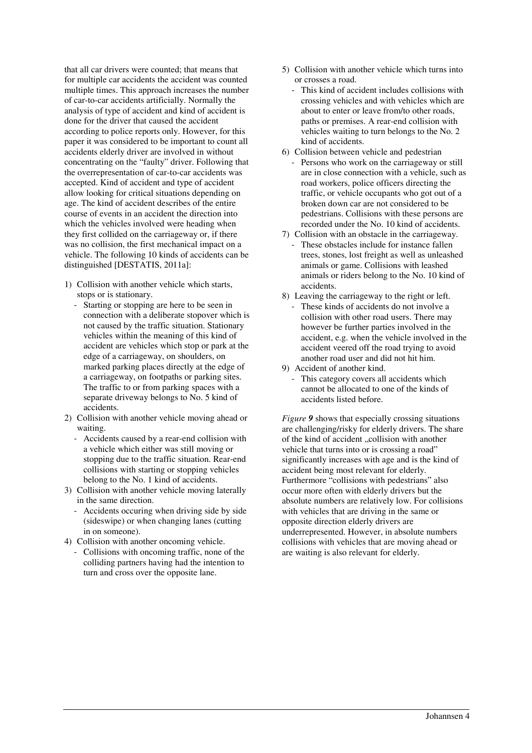that all car drivers were counted; that means that for multiple car accidents the accident was counted multiple times. This approach increases the number of car-to-car accidents artificially. Normally the analysis of type of accident and kind of accident is done for the driver that caused the accident according to police reports only. However, for this paper it was considered to be important to count all accidents elderly driver are involved in without concentrating on the "faulty" driver. Following that the overrepresentation of car-to-car accidents was accepted. Kind of accident and type of accident allow looking for critical situations depending on age. The kind of accident describes of the entire course of events in an accident the direction into which the vehicles involved were heading when they first collided on the carriageway or, if there was no collision, the first mechanical impact on a vehicle. The following 10 kinds of accidents can be distinguished [DESTATIS, 2011a]:

- 1) Collision with another vehicle which starts, stops or is stationary.
	- Starting or stopping are here to be seen in connection with a deliberate stopover which is not caused by the traffic situation. Stationary vehicles within the meaning of this kind of accident are vehicles which stop or park at the edge of a carriageway, on shoulders, on marked parking places directly at the edge of a carriageway, on footpaths or parking sites. The traffic to or from parking spaces with a separate driveway belongs to No. 5 kind of accidents.
- 2) Collision with another vehicle moving ahead or waiting.
	- Accidents caused by a rear-end collision with a vehicle which either was still moving or stopping due to the traffic situation. Rear-end collisions with starting or stopping vehicles belong to the No. 1 kind of accidents.
- 3) Collision with another vehicle moving laterally in the same direction.
	- Accidents occuring when driving side by side (sideswipe) or when changing lanes (cutting in on someone).
- 4) Collision with another oncoming vehicle.
	- Collisions with oncoming traffic, none of the colliding partners having had the intention to turn and cross over the opposite lane.
- 5) Collision with another vehicle which turns into or crosses a road.
	- This kind of accident includes collisions with crossing vehicles and with vehicles which are about to enter or leave from/to other roads, paths or premises. A rear-end collision with vehicles waiting to turn belongs to the No. 2 kind of accidents.
- 6) Collision between vehicle and pedestrian
- Persons who work on the carriageway or still are in close connection with a vehicle, such as road workers, police officers directing the traffic, or vehicle occupants who got out of a broken down car are not considered to be pedestrians. Collisions with these persons are recorded under the No. 10 kind of accidents.
- 7) Collision with an obstacle in the carriageway. - These obstacles include for instance fallen trees, stones, lost freight as well as unleashed animals or game. Collisions with leashed animals or riders belong to the No. 10 kind of accidents.
- 8) Leaving the carriageway to the right or left.
	- These kinds of accidents do not involve a collision with other road users. There may however be further parties involved in the accident, e.g. when the vehicle involved in the accident veered off the road trying to avoid another road user and did not hit him.
- 9) Accident of another kind.
	- This category covers all accidents which cannot be allocated to one of the kinds of accidents listed before.

*Figure 9* shows that especially crossing situations are challenging/risky for elderly drivers. The share of the kind of accident ..collision with another vehicle that turns into or is crossing a road" significantly increases with age and is the kind of accident being most relevant for elderly. Furthermore "collisions with pedestrians" also occur more often with elderly drivers but the absolute numbers are relatively low. For collisions with vehicles that are driving in the same or opposite direction elderly drivers are underrepresented. However, in absolute numbers collisions with vehicles that are moving ahead or are waiting is also relevant for elderly.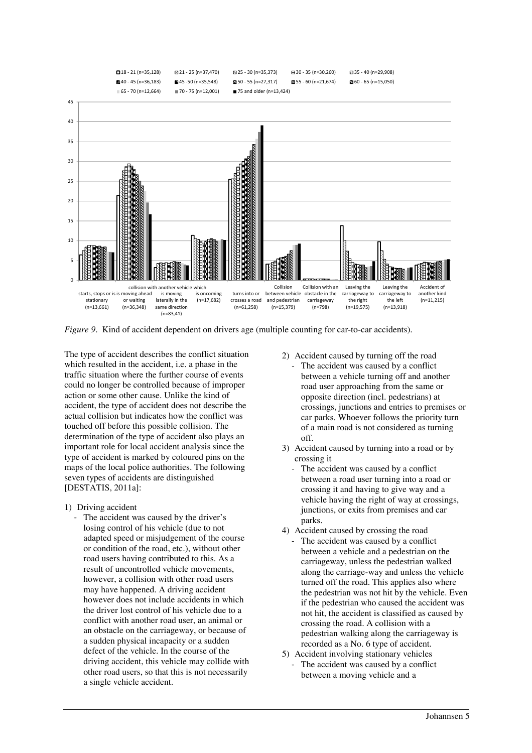

*Figure 9.* Kind of accident dependent on drivers age (multiple counting for car-to-car accidents).

The type of accident describes the conflict situation which resulted in the accident, i.e. a phase in the traffic situation where the further course of events could no longer be controlled because of improper action or some other cause. Unlike the kind of accident, the type of accident does not describe the actual collision but indicates how the conflict was touched off before this possible collision. The determination of the type of accident also plays an important role for local accident analysis since the type of accident is marked by coloured pins on the maps of the local police authorities. The following seven types of accidents are distinguished [DESTATIS, 2011a]:

- 1) Driving accident
	- The accident was caused by the driver's losing control of his vehicle (due to not adapted speed or misjudgement of the course or condition of the road, etc.), without other road users having contributed to this. As a result of uncontrolled vehicle movements, however, a collision with other road users may have happened. A driving accident however does not include accidents in which the driver lost control of his vehicle due to a conflict with another road user, an animal or an obstacle on the carriageway, or because of a sudden physical incapacity or a sudden defect of the vehicle. In the course of the driving accident, this vehicle may collide with other road users, so that this is not necessarily a single vehicle accident.
- 2) Accident caused by turning off the road - The accident was caused by a conflict
- between a vehicle turning off and another road user approaching from the same or opposite direction (incl. pedestrians) at crossings, junctions and entries to premises or car parks. Whoever follows the priority turn of a main road is not considered as turning off.
- 3) Accident caused by turning into a road or by crossing it
	- The accident was caused by a conflict between a road user turning into a road or crossing it and having to give way and a vehicle having the right of way at crossings, junctions, or exits from premises and car parks.
- 4) Accident caused by crossing the road
- The accident was caused by a conflict between a vehicle and a pedestrian on the carriageway, unless the pedestrian walked along the carriage-way and unless the vehicle turned off the road. This applies also where the pedestrian was not hit by the vehicle. Even if the pedestrian who caused the accident was not hit, the accident is classified as caused by crossing the road. A collision with a pedestrian walking along the carriageway is recorded as a No. 6 type of accident.
- 5) Accident involving stationary vehicles
	- The accident was caused by a conflict between a moving vehicle and a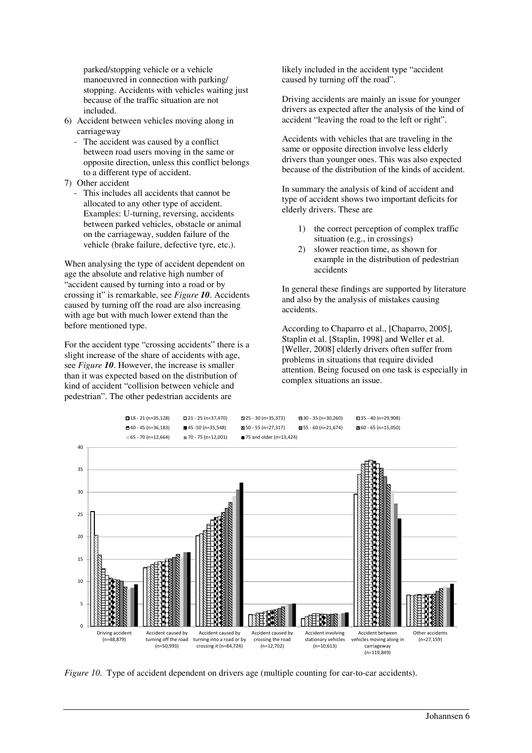parked/stopping vehicle or a vehicle manoeuvred in connection with parking/ stopping. Accidents with vehicles waiting just because of the traffic situation are not included.

- 6) Accident between vehicles moving along in carriageway
	- The accident was caused by a conflict between road users moving in the same or opposite direction, unless this conflict belongs to a different type of accident.
- 7) Other accident
	- This includes all accidents that cannot be allocated to any other type of accident. Examples: U-turning, reversing, accidents between parked vehicles, obstacle or animal on the carriageway, sudden failure of the vehicle (brake failure, defective tyre, etc.).

When analysing the type of accident dependent on age the absolute and relative high number of "accident caused by turning into a road or by crossing it" is remarkable, see *Figure 10*. Accidents caused by turning off the road are also increasing with age but with much lower extend than the before mentioned type.

For the accident type "crossing accidents" there is a slight increase of the share of accidents with age, see *Figure 10*. However, the increase is smaller than it was expected based on the distribution of kind of accident "collision between vehicle and pedestrian". The other pedestrian accidents are

likely included in the accident type "accident caused by turning off the road".

Driving accidents are mainly an issue for younger drivers as expected after the analysis of the kind of accident "leaving the road to the left or right".

Accidents with vehicles that are traveling in the same or opposite direction involve less elderly drivers than younger ones. This was also expected because of the distribution of the kinds of accident.

In summary the analysis of kind of accident and type of accident shows two important deficits for elderly drivers. These are

- 1) the correct perception of complex traffic situation (e.g., in crossings)
- 2) slower reaction time, as shown for example in the distribution of pedestrian accidents

In general these findings are supported by literature and also by the analysis of mistakes causing accidents.

According to Chaparro et al., [Chaparro, 2005], Staplin et al. [Staplin, 1998] and Weller et al. [Weller, 2008] elderly drivers often suffer from problems in situations that require divided attention. Being focused on one task is especially in complex situations an issue.



*Figure 10.* Type of accident dependent on drivers age (multiple counting for car-to-car accidents).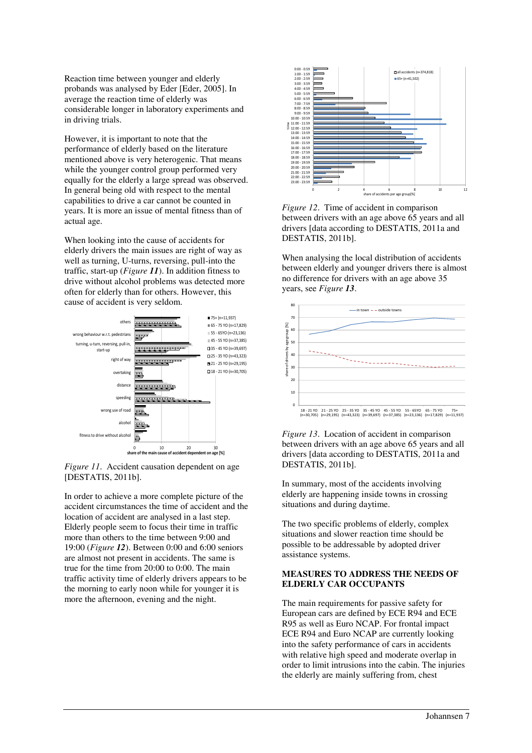Reaction time between younger and elderly probands was analysed by Eder [Eder, 2005]. In average the reaction time of elderly was considerable longer in laboratory experiments and in driving trials.

However, it is important to note that the performance of elderly based on the literature mentioned above is very heterogenic. That means while the younger control group performed very equally for the elderly a large spread was observed. In general being old with respect to the mental capabilities to drive a car cannot be counted in years. It is more an issue of mental fitness than of actual age.

When looking into the cause of accidents for elderly drivers the main issues are right of way as well as turning, U-turns, reversing, pull-into the traffic, start-up (*Figure 11*). In addition fitness to drive without alcohol problems was detected more often for elderly than for others. However, this cause of accident is very seldom.





In order to achieve a more complete picture of the accident circumstances the time of accident and the location of accident are analysed in a last step. Elderly people seem to focus their time in traffic more than others to the time between 9:00 and 19:00 (*Figure 12*). Between 0:00 and 6:00 seniors are almost not present in accidents. The same is true for the time from 20:00 to 0:00. The main traffic activity time of elderly drivers appears to be the morning to early noon while for younger it is more the afternoon, evening and the night.



*Figure 12*. Time of accident in comparison between drivers with an age above 65 years and all drivers [data according to DESTATIS, 2011a and DESTATIS, 2011b].

When analysing the local distribution of accidents between elderly and younger drivers there is almost no difference for drivers with an age above 35 years, see *Figure 13*.



*Figure 13*. Location of accident in comparison between drivers with an age above 65 years and all drivers [data according to DESTATIS, 2011a and DESTATIS, 2011b].

In summary, most of the accidents involving elderly are happening inside towns in crossing situations and during daytime.

The two specific problems of elderly, complex situations and slower reaction time should be possible to be addressable by adopted driver assistance systems.

## **MEASURES TO ADDRESS THE NEEDS OF ELDERLY CAR OCCUPANTS**

The main requirements for passive safety for European cars are defined by ECE R94 and ECE R95 as well as Euro NCAP. For frontal impact ECE R94 and Euro NCAP are currently looking into the safety performance of cars in accidents with relative high speed and moderate overlap in order to limit intrusions into the cabin. The injuries the elderly are mainly suffering from, chest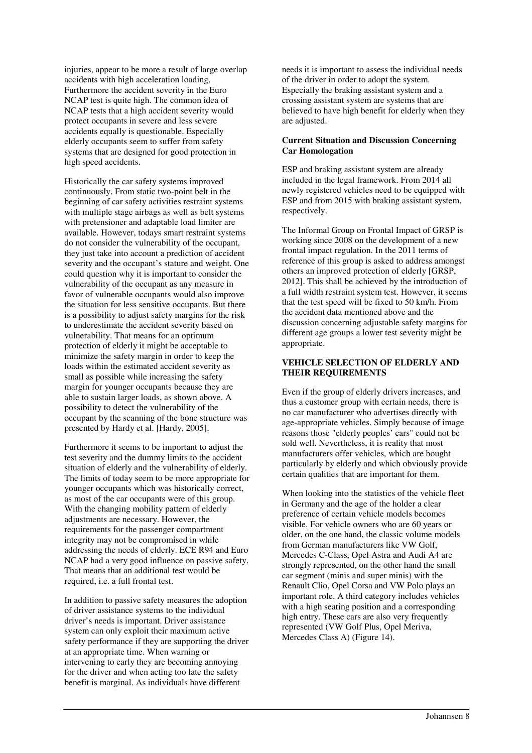injuries, appear to be more a result of large overlap accidents with high acceleration loading. Furthermore the accident severity in the Euro NCAP test is quite high. The common idea of NCAP tests that a high accident severity would protect occupants in severe and less severe accidents equally is questionable. Especially elderly occupants seem to suffer from safety systems that are designed for good protection in high speed accidents.

Historically the car safety systems improved continuously. From static two-point belt in the beginning of car safety activities restraint systems with multiple stage airbags as well as belt systems with pretensioner and adaptable load limiter are available. However, todays smart restraint systems do not consider the vulnerability of the occupant, they just take into account a prediction of accident severity and the occupant's stature and weight. One could question why it is important to consider the vulnerability of the occupant as any measure in favor of vulnerable occupants would also improve the situation for less sensitive occupants. But there is a possibility to adjust safety margins for the risk to underestimate the accident severity based on vulnerability. That means for an optimum protection of elderly it might be acceptable to minimize the safety margin in order to keep the loads within the estimated accident severity as small as possible while increasing the safety margin for younger occupants because they are able to sustain larger loads, as shown above. A possibility to detect the vulnerability of the occupant by the scanning of the bone structure was presented by Hardy et al. [Hardy, 2005].

Furthermore it seems to be important to adjust the test severity and the dummy limits to the accident situation of elderly and the vulnerability of elderly. The limits of today seem to be more appropriate for younger occupants which was historically correct, as most of the car occupants were of this group. With the changing mobility pattern of elderly adjustments are necessary. However, the requirements for the passenger compartment integrity may not be compromised in while addressing the needs of elderly. ECE R94 and Euro NCAP had a very good influence on passive safety. That means that an additional test would be required, i.e. a full frontal test.

In addition to passive safety measures the adoption of driver assistance systems to the individual driver's needs is important. Driver assistance system can only exploit their maximum active safety performance if they are supporting the driver at an appropriate time. When warning or intervening to early they are becoming annoying for the driver and when acting too late the safety benefit is marginal. As individuals have different

needs it is important to assess the individual needs of the driver in order to adopt the system. Especially the braking assistant system and a crossing assistant system are systems that are believed to have high benefit for elderly when they are adjusted.

#### **Current Situation and Discussion Concerning Car Homologation**

ESP and braking assistant system are already included in the legal framework. From 2014 all newly registered vehicles need to be equipped with ESP and from 2015 with braking assistant system, respectively.

The Informal Group on Frontal Impact of GRSP is working since 2008 on the development of a new frontal impact regulation. In the 2011 terms of reference of this group is asked to address amongst others an improved protection of elderly [GRSP, 2012]. This shall be achieved by the introduction of a full width restraint system test. However, it seems that the test speed will be fixed to 50 km/h. From the accident data mentioned above and the discussion concerning adjustable safety margins for different age groups a lower test severity might be appropriate.

# **VEHICLE SELECTION OF ELDERLY AND THEIR REQUIREMENTS**

Even if the group of elderly drivers increases, and thus a customer group with certain needs, there is no car manufacturer who advertises directly with age-appropriate vehicles. Simply because of image reasons those "elderly peoples' cars" could not be sold well. Nevertheless, it is reality that most manufacturers offer vehicles, which are bought particularly by elderly and which obviously provide certain qualities that are important for them.

When looking into the statistics of the vehicle fleet in Germany and the age of the holder a clear preference of certain vehicle models becomes visible. For vehicle owners who are 60 years or older, on the one hand, the classic volume models from German manufacturers like VW Golf, Mercedes C-Class, Opel Astra and Audi A4 are strongly represented, on the other hand the small car segment (minis and super minis) with the Renault Clio, Opel Corsa and VW Polo plays an important role. A third category includes vehicles with a high seating position and a corresponding high entry. These cars are also very frequently represented (VW Golf Plus, Opel Meriva, Mercedes Class A) (Figure 14).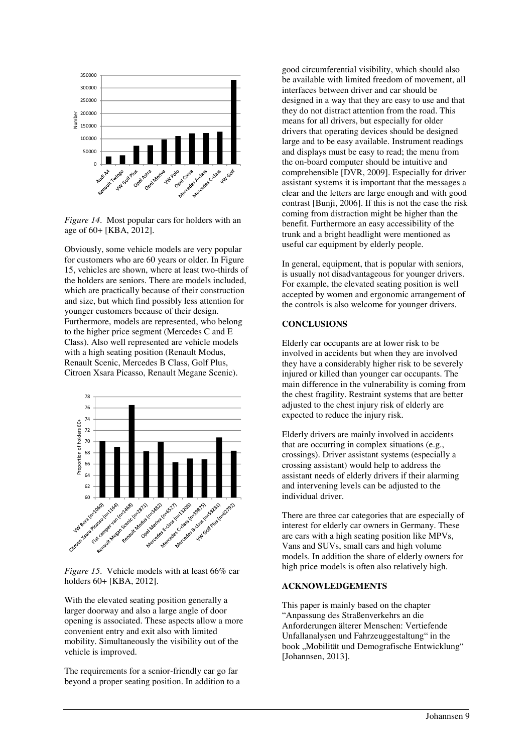

*Figure 14*. Most popular cars for holders with an age of 60+ [KBA, 2012].

Obviously, some vehicle models are very popular for customers who are 60 years or older. In Figure 15, vehicles are shown, where at least two-thirds of the holders are seniors. There are models included, which are practically because of their construction and size, but which find possibly less attention for younger customers because of their design. Furthermore, models are represented, who belong to the higher price segment (Mercedes C and E Class). Also well represented are vehicle models with a high seating position (Renault Modus, Renault Scenic, Mercedes B Class, Golf Plus, Citroen Xsara Picasso, Renault Megane Scenic).



*Figure 15.* Vehicle models with at least 66% car holders 60+ [KBA, 2012].

With the elevated seating position generally a larger doorway and also a large angle of door opening is associated. These aspects allow a more convenient entry and exit also with limited mobility. Simultaneously the visibility out of the vehicle is improved.

The requirements for a senior-friendly car go far beyond a proper seating position. In addition to a good circumferential visibility, which should also be available with limited freedom of movement, all interfaces between driver and car should be designed in a way that they are easy to use and that they do not distract attention from the road. This means for all drivers, but especially for older drivers that operating devices should be designed large and to be easy available. Instrument readings and displays must be easy to read; the menu from the on-board computer should be intuitive and comprehensible [DVR, 2009]. Especially for driver assistant systems it is important that the messages a clear and the letters are large enough and with good contrast [Bunji, 2006]. If this is not the case the risk coming from distraction might be higher than the benefit. Furthermore an easy accessibility of the trunk and a bright headlight were mentioned as useful car equipment by elderly people.

In general, equipment, that is popular with seniors, is usually not disadvantageous for younger drivers. For example, the elevated seating position is well accepted by women and ergonomic arrangement of the controls is also welcome for younger drivers.

## **CONCLUSIONS**

Elderly car occupants are at lower risk to be involved in accidents but when they are involved they have a considerably higher risk to be severely injured or killed than younger car occupants. The main difference in the vulnerability is coming from the chest fragility. Restraint systems that are better adjusted to the chest injury risk of elderly are expected to reduce the injury risk.

Elderly drivers are mainly involved in accidents that are occurring in complex situations (e.g., crossings). Driver assistant systems (especially a crossing assistant) would help to address the assistant needs of elderly drivers if their alarming and intervening levels can be adjusted to the individual driver.

There are three car categories that are especially of interest for elderly car owners in Germany. These are cars with a high seating position like MPVs, Vans and SUVs, small cars and high volume models. In addition the share of elderly owners for high price models is often also relatively high.

#### **ACKNOWLEDGEMENTS**

This paper is mainly based on the chapter "Anpassung des Straßenverkehrs an die Anforderungen älterer Menschen: Vertiefende Unfallanalysen und Fahrzeuggestaltung" in the book "Mobilität und Demografische Entwicklung" [Johannsen, 2013].